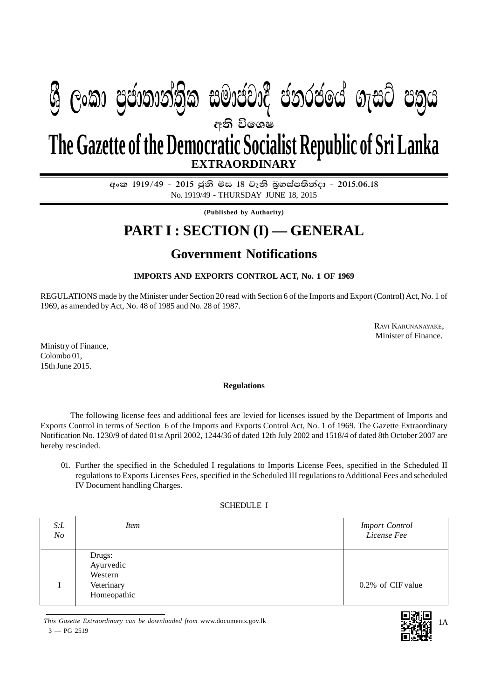# අති වි**ං**ශෂ **EXTRAORDINARY**  $\mathfrak{G}$  ලංකා පුජාතාන්තික සමාජවාදී ජනරජයේ ගැසට් පතුය **The Gazette of the Democratic Socialist Republic of Sri Lanka**

අංක 1919/49 - 2015 ජුනි මස 18 වැනි බූහස්පතින්දා - 2015.06.18 No. 1919/49 - THURSDAY JUNE 18, 2015

**(Published by Authority)**

# **PART I : SECTION (I) — GENERAL**

## **Government Notifications**

### **IMPORTS AND EXPORTS CONTROL ACT, No. 1 OF 1969**

REGULATIONS made by the Minister under Section 20 read with Section 6 of the Imports and Export (Control) Act, No. 1 of 1969, as amended by Act, No. 48 of 1985 and No. 28 of 1987.

> RAVI KARUNANAYAKE, Minister of Finance.

Ministry of Finance, Colombo 01, 15th June 2015.

### **Regulations**

The following license fees and additional fees are levied for licenses issued by the Department of Imports and Exports Control in terms of Section 6 of the Imports and Exports Control Act, No. 1 of 1969. The Gazette Extraordinary Notification No. 1230/9 of dated 01st April 2002, 1244/36 of dated 12th July 2002 and 1518/4 of dated 8th October 2007 are hereby rescinded.

01. Further the specified in the Scheduled I regulations to Imports License Fees, specified in the Scheduled II regulations to Exports Licenses Fees, specified in the Scheduled III regulations to Additional Fees and scheduled IV Document handling Charges.

### SCHEDULE I

| S: L<br>$N_{O}$ | <i>Item</i>                                                 | <b>Import Control</b><br>License Fee |
|-----------------|-------------------------------------------------------------|--------------------------------------|
|                 | Drugs:<br>Ayurvedic<br>Western<br>Veterinary<br>Homeopathic | 0.2% of CIF value                    |

*This Gazette Extraordinary can be downloaded from* www.documents.gov.lk  $3 - PG 2519$ 

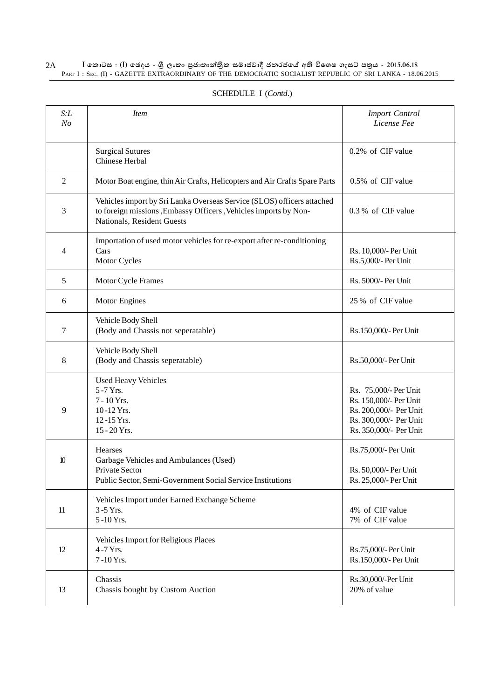#### $\rm I$  කොටස : ( $\rm I$ ) ඡෙදය - ශුී ලංකා පුජාතාන්තිුක සමාජවාදී ජනරජයේ අති විශෙෂ ගැසට් පතුය - 2015.06.18 PART I : SEC. (I) - GAZETTE EXTRAORDINARY OF THE DEMOCRATIC SOCIALIST REPUBLIC OF SRI LANKA - 18.06.2015 2A

| S: L<br>N <sub>O</sub> | <i>Item</i>                                                                                                                                                               | <b>Import Control</b><br>License Fee                                                                                          |
|------------------------|---------------------------------------------------------------------------------------------------------------------------------------------------------------------------|-------------------------------------------------------------------------------------------------------------------------------|
|                        | <b>Surgical Sutures</b><br>Chinese Herbal                                                                                                                                 | 0.2% of CIF value                                                                                                             |
| $\mathfrak{2}$         | Motor Boat engine, thin Air Crafts, Helicopters and Air Crafts Spare Parts                                                                                                | 0.5% of CIF value                                                                                                             |
| 3                      | Vehicles import by Sri Lanka Overseas Service (SLOS) officers attached<br>to foreign missions , Embassy Officers , Vehicles imports by Non-<br>Nationals, Resident Guests | 0.3% of CIF value                                                                                                             |
| $\overline{4}$         | Importation of used motor vehicles for re-export after re-conditioning<br>Cars<br>Motor Cycles                                                                            | Rs. 10,000/- Per Unit<br>Rs.5,000/- Per Unit                                                                                  |
| 5                      | Motor Cycle Frames                                                                                                                                                        | Rs. 5000/- Per Unit                                                                                                           |
| 6                      | Motor Engines                                                                                                                                                             | 25 % of CIF value                                                                                                             |
| 7                      | Vehicle Body Shell<br>(Body and Chassis not seperatable)                                                                                                                  | Rs.150,000/- Per Unit                                                                                                         |
| 8                      | Vehicle Body Shell<br>(Body and Chassis seperatable)                                                                                                                      | Rs.50,000/- Per Unit                                                                                                          |
| 9                      | <b>Used Heavy Vehicles</b><br>5-7 Yrs.<br>7 - 10 Yrs.<br>10-12 Yrs.<br>12-15 Yrs.<br>15 - 20 Yrs.                                                                         | Rs. 75,000/- Per Unit<br>Rs. 150,000/- Per Unit<br>Rs. 200,000/- Per Unit<br>Rs. 300,000/- Per Unit<br>Rs. 350,000/- Per Unit |
| 10                     | Hearses<br>Garbage Vehicles and Ambulances (Used)<br>Private Sector<br>Public Sector, Semi-Government Social Service Institutions                                         | Rs.75,000/- Per Unit<br>Rs. 50,000/- Per Unit<br>Rs. 25,000/- Per Unit                                                        |
| 11                     | Vehicles Import under Earned Exchange Scheme<br>3-5 Yrs.<br>5-10 Yrs.                                                                                                     | 4% of CIF value<br>7% of CIF value                                                                                            |
| 12                     | Vehicles Import for Religious Places<br>4-7 Yrs.<br>7-10 Yrs.                                                                                                             | Rs.75,000/- Per Unit<br>Rs.150,000/- Per Unit                                                                                 |
| 13                     | Chassis<br>Chassis bought by Custom Auction                                                                                                                               | Rs.30,000/-Per Unit<br>20% of value                                                                                           |

### SCHEDULE I (*Contd*.)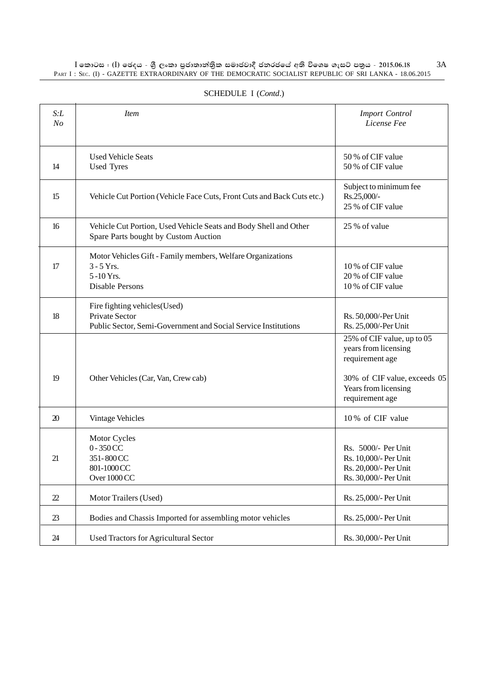$\rm I$  කොටස : ( $\rm I$ ) ඡෙදය - ශුී ලංකා පුජාතාන්තිුක සමාජවාදී ජනරජයේ අති විශෙෂ ගැසට් පතුය - 2015.06.18 PART I : SEC. (I) - GAZETTE EXTRAORDINARY OF THE DEMOCRATIC SOCIALIST REPUBLIC OF SRI LANKA - 18.06.2015 3A

| S: L<br>N <sub>O</sub> | <i>Item</i>                                                                                                       | <b>Import Control</b><br>License Fee                                                                                                             |
|------------------------|-------------------------------------------------------------------------------------------------------------------|--------------------------------------------------------------------------------------------------------------------------------------------------|
| 14                     | <b>Used Vehicle Seats</b><br><b>Used Tyres</b>                                                                    | 50 % of CIF value<br>50 % of CIF value                                                                                                           |
| 15                     | Vehicle Cut Portion (Vehicle Face Cuts, Front Cuts and Back Cuts etc.)                                            | Subject to minimum fee<br>Rs.25,000/-<br>25 % of CIF value                                                                                       |
| 16                     | Vehicle Cut Portion, Used Vehicle Seats and Body Shell and Other<br>Spare Parts bought by Custom Auction          | 25 % of value                                                                                                                                    |
| 17                     | Motor Vehicles Gift - Family members, Welfare Organizations<br>$3 - 5$ Yrs.<br>$5 - 10$ Yrs.<br>Disable Persons   | 10% of CIF value<br>20 % of CIF value<br>10% of CIF value                                                                                        |
| 18                     | Fire fighting vehicles (Used)<br>Private Sector<br>Public Sector, Semi-Government and Social Service Institutions | Rs. 50,000/-Per Unit<br>Rs. 25,000/-Per Unit                                                                                                     |
| 19                     | Other Vehicles (Car, Van, Crew cab)                                                                               | 25% of CIF value, up to 05<br>years from licensing<br>requirement age<br>30% of CIF value, exceeds 05<br>Years from licensing<br>requirement age |
| 20                     | Vintage Vehicles                                                                                                  | 10% of CIF value                                                                                                                                 |
| 21                     | Motor Cycles<br>$0 - 350$ CC<br>351-800CC<br>801-1000 CC<br>Over 1000 CC                                          | Rs. 5000/- Per Unit<br>Rs. 10,000/- Per Unit<br>Rs. 20,000/- Per Unit<br>Rs. 30,000/- Per Unit                                                   |
| 22                     | Motor Trailers (Used)                                                                                             | Rs. 25,000/- Per Unit                                                                                                                            |
| 23                     | Bodies and Chassis Imported for assembling motor vehicles                                                         | Rs. 25,000/- Per Unit                                                                                                                            |
| 24                     | Used Tractors for Agricultural Sector                                                                             | Rs. 30,000/- Per Unit                                                                                                                            |

### SCHEDULE I (*Contd*.)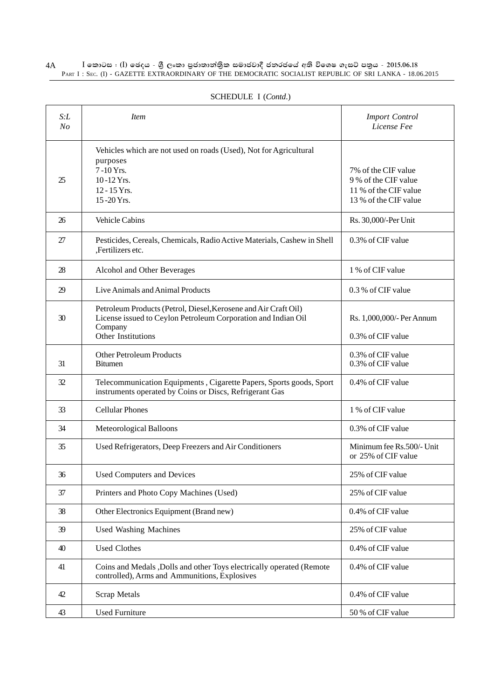#### $\rm I$  කොටස : ( $\rm I$ ) ඡෙදය - ශුී ලංකා පුජාතාන්තිුක සමාජවාදී ජනරජයේ අති විශෙෂ ගැසට් පතුය - 2015.06.18 PART I : SEC. (I) - GAZETTE EXTRAORDINARY OF THE DEMOCRATIC SOCIALIST REPUBLIC OF SRI LANKA - 18.06.2015 4A

| S: L<br>N <sub>O</sub> | <i>Item</i>                                                                                                                                                       | <b>Import Control</b><br>License Fee                                                          |
|------------------------|-------------------------------------------------------------------------------------------------------------------------------------------------------------------|-----------------------------------------------------------------------------------------------|
| 25                     | Vehicles which are not used on roads (Used), Not for Agricultural<br>purposes<br>7-10 Yrs.<br>10-12 Yrs.<br>12 - 15 Yrs.<br>15-20 Yrs.                            | 7% of the CIF value<br>9 % of the CIF value<br>11 % of the CIF value<br>13 % of the CIF value |
| 26                     | Vehicle Cabins                                                                                                                                                    | Rs. 30,000/-Per Unit                                                                          |
| 27                     | Pesticides, Cereals, Chemicals, Radio Active Materials, Cashew in Shell<br>,Fertilizers etc.                                                                      | 0.3% of CIF value                                                                             |
| 28                     | Alcohol and Other Beverages                                                                                                                                       | 1 % of CIF value                                                                              |
| 29                     | Live Animals and Animal Products                                                                                                                                  | 0.3 % of CIF value                                                                            |
| 30                     | Petroleum Products (Petrol, Diesel, Kerosene and Air Craft Oil)<br>License issued to Ceylon Petroleum Corporation and Indian Oil<br>Company<br>Other Institutions | Rs. 1,000,000/- Per Annum<br>0.3% of CIF value                                                |
| 31                     | <b>Other Petroleum Products</b><br><b>Bitumen</b>                                                                                                                 | 0.3% of CIF value<br>0.3% of CIF value                                                        |
| 32                     | Telecommunication Equipments, Cigarette Papers, Sports goods, Sport<br>instruments operated by Coins or Discs, Refrigerant Gas                                    | 0.4% of CIF value                                                                             |
| 33                     | <b>Cellular Phones</b>                                                                                                                                            | 1 % of CIF value                                                                              |
| 34                     | Meteorological Balloons                                                                                                                                           | 0.3% of CIF value                                                                             |
| 35                     | Used Refrigerators, Deep Freezers and Air Conditioners                                                                                                            | Minimum fee Rs.500/- Unit<br>or 25% of CIF value                                              |
| 36                     | Used Computers and Devices                                                                                                                                        | 25% of CIF value                                                                              |
| 37                     | Printers and Photo Copy Machines (Used)                                                                                                                           | 25% of CIF value                                                                              |
| 38                     | Other Electronics Equipment (Brand new)                                                                                                                           | 0.4% of CIF value                                                                             |
| 39                     | <b>Used Washing Machines</b>                                                                                                                                      | 25% of CIF value                                                                              |
| 40                     | <b>Used Clothes</b>                                                                                                                                               | 0.4% of CIF value                                                                             |
| 41                     | Coins and Medals , Dolls and other Toys electrically operated (Remote<br>controlled), Arms and Ammunitions, Explosives                                            | 0.4% of CIF value                                                                             |
| 42                     | <b>Scrap Metals</b>                                                                                                                                               | 0.4% of CIF value                                                                             |
| 43                     | <b>Used Furniture</b>                                                                                                                                             | 50 % of CIF value                                                                             |

### SCHEDULE I (*Contd*.)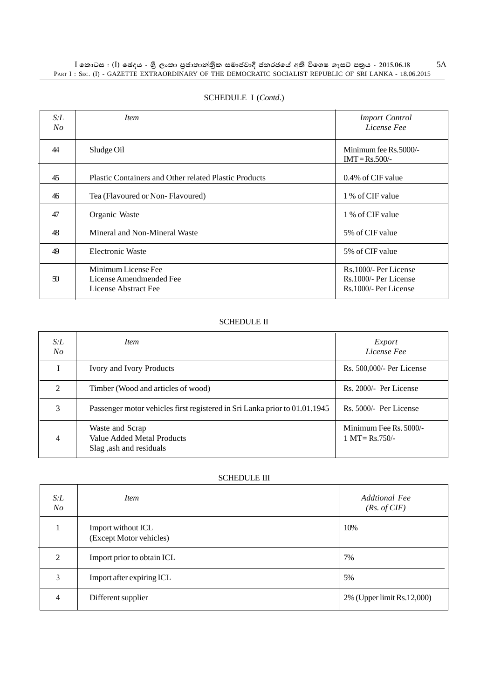| S:L<br>No | <i>Item</i>                                                            | <b>Import Control</b><br>License Fee                                      |
|-----------|------------------------------------------------------------------------|---------------------------------------------------------------------------|
| 44        | Sludge Oil                                                             | Minimum fee Rs.5000/-<br>$IMT = Rs.500/-$                                 |
| 45        | <b>Plastic Containers and Other related Plastic Products</b>           | 0.4% of CIF value                                                         |
| 46        | Tea (Flavoured or Non-Flavoured)                                       | 1 % of CIF value                                                          |
| 47        | Organic Waste                                                          | 1 % of CIF value                                                          |
| 48        | Mineral and Non-Mineral Waste                                          | 5% of CIF value                                                           |
| 49        | <b>Electronic Waste</b>                                                | 5% of CIF value                                                           |
| 50        | Minimum License Fee<br>License Amendmended Fee<br>License Abstract Fee | Rs.1000/- Per License<br>Rs. 1000/- Per License<br>Rs. 1000/- Per License |

### SCHEDULE I (*Contd*.)

### SCHEDULE II

| S: L<br>$N_{O}$ | <i>Item</i>                                                                | Export<br>License Fee                                        |
|-----------------|----------------------------------------------------------------------------|--------------------------------------------------------------|
|                 | Ivory and Ivory Products                                                   | Rs. 500,000/- Per License                                    |
| $\mathfrak{D}$  | Timber (Wood and articles of wood)                                         | Rs. 2000/- Per License                                       |
| 3               | Passenger motor vehicles first registered in Sri Lanka prior to 01.01.1945 | Rs. 5000/- Per License                                       |
| 4               | Waste and Scrap<br>Value Added Metal Products<br>Slag, ash and residuals   | Minimum Fee Rs. 5000/-<br>$1 \text{ MT} = \text{Rs } 750/$ - |

### SCHEDULE III

| S: L<br>$N_{O}$ | <i>Item</i>                                   | <b>Addtional Fee</b><br>(Rs. of CIF) |
|-----------------|-----------------------------------------------|--------------------------------------|
|                 | Import without ICL<br>(Except Motor vehicles) | 10%                                  |
| 2               | Import prior to obtain ICL                    | 7%                                   |
| 3               | Import after expiring ICL                     | 5%                                   |
| 4               | Different supplier                            | 2% (Upper limit Rs.12,000)           |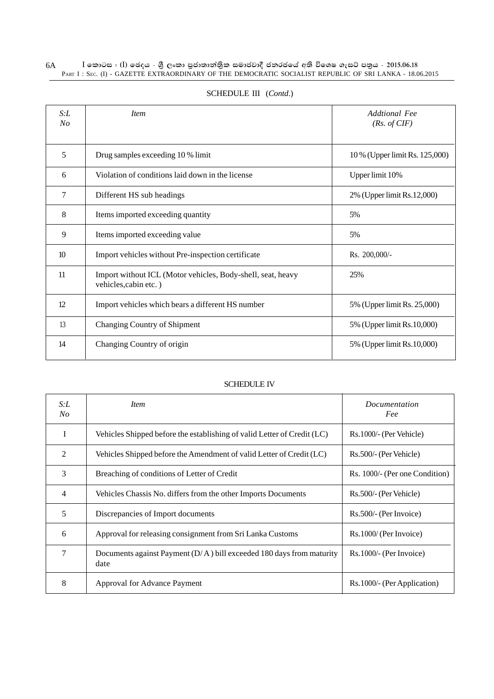#### $\rm I$  කොටස : ( $\rm I$ ) ඡෙදය - ශුී ලංකා පුජාතාන්තිුක සමාජවාදී ජනරජයේ අති විශෙෂ ගැසට් පතුය - 2015.06.18 PART I : SEC. (I) - GAZETTE EXTRAORDINARY OF THE DEMOCRATIC SOCIALIST REPUBLIC OF SRI LANKA - 18.06.2015 6A

| S: L<br>No      | <b>Item</b>                                                                          | Addtional Fee<br>(Rs. of CIF)  |
|-----------------|--------------------------------------------------------------------------------------|--------------------------------|
| 5               | Drug samples exceeding 10 % limit                                                    | 10 % (Upper limit Rs. 125,000) |
| 6               | Violation of conditions laid down in the license                                     | Upper limit 10%                |
| 7               | Different HS sub headings                                                            | 2% (Upper limit Rs.12,000)     |
| 8               | Items imported exceeding quantity                                                    | 5%                             |
| 9               | Items imported exceeding value                                                       | 5%                             |
| 10 <sup>2</sup> | Import vehicles without Pre-inspection certificate                                   | Rs. 200,000/-                  |
| 11              | Import without ICL (Motor vehicles, Body-shell, seat, heavy<br>vehicles, cabin etc.) | 25%                            |
| 12              | Import vehicles which bears a different HS number                                    | 5% (Upper limit Rs. 25,000)    |
| 13              | Changing Country of Shipment                                                         | 5% (Upper limit Rs. 10,000)    |
| 14              | Changing Country of origin                                                           | 5% (Upper limit Rs. 10,000)    |

### SCHEDULE III (*Contd*.)

### SCHEDULE IV

| S: L<br>No     | <i>Item</i>                                                                    | <i>Documentation</i><br>Fee    |
|----------------|--------------------------------------------------------------------------------|--------------------------------|
| I              | Vehicles Shipped before the establishing of valid Letter of Credit (LC)        | Rs.1000/- (Per Vehicle)        |
| $\mathfrak{D}$ | Vehicles Shipped before the Amendment of valid Letter of Credit (LC)           | Rs.500/- (Per Vehicle)         |
| 3              | Breaching of conditions of Letter of Credit                                    | Rs. 1000/- (Per one Condition) |
| 4              | Vehicles Chassis No. differs from the other Imports Documents                  | Rs.500/- (Per Vehicle)         |
| 5              | Discrepancies of Import documents                                              | Rs.500/- (Per Invoice)         |
| 6              | Approval for releasing consignment from Sri Lanka Customs                      | Rs.1000/ (Per Invoice)         |
| $\overline{7}$ | Documents against Payment $(D/A)$ bill exceeded 180 days from maturity<br>date | Rs.1000/- (Per Invoice)        |
| 8              | Approval for Advance Payment                                                   | Rs.1000/- (Per Application)    |